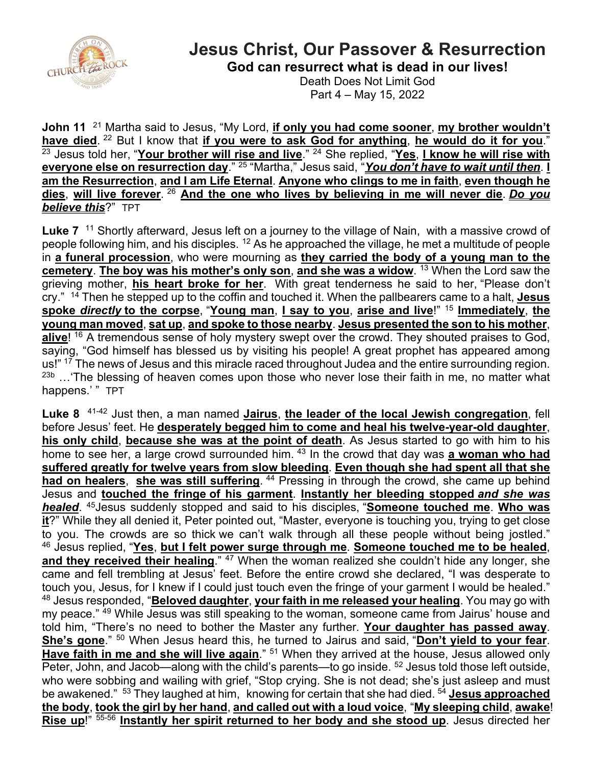

## **Jesus Christ, Our Passover & Resurrection**

**God can resurrect what is dead in our lives!**

Death Does Not Limit God Part 4 – May 15, 2022

**John 11** <sup>21</sup> Martha said to Jesus, "My Lord, *if only you had come sooner*, *my brother wouldn't* have died. <sup>22</sup> But I know that if you were to ask God for anything, he would do it for you." <sup>23</sup> Jesus told her, "Your brother will rise and live." <sup>24</sup> She replied, "Yes, I know he will rise with **everyone else on resurrection day**." <sup>25</sup> "Martha," Jesus said, "*You don't have to wait until then*. **I am the Resurrection**, **and I am Life Eternal**. **Anyone who clings to me in faith**, **even though he dies**, **will live forever**. <sup>26</sup> **And the one who lives by believing in me will never die**. *Do you believe this*?" TPT

Luke 7<sup>11</sup> Shortly afterward, Jesus left on a journey to the village of Nain, with a massive crowd of people following him, and his disciples. <sup>12</sup> As he approached the village, he met a multitude of people in **a funeral procession**, who were mourning as **they carried the body of a young man to the cemetery**. **The boy was his mother's only son**, **and she was a widow**. <sup>13</sup> When the Lord saw the grieving mother, **his heart broke for her**. With great tenderness he said to her, "Please don't cry." <sup>14</sup> Then he stepped up to the coffin and touched it. When the pallbearers came to a halt, **Jesus spoke** *directly* **to the corpse**, "**Young man**, **I say to you**, **arise and live**!" <sup>15</sup> **Immediately**, **the young man moved**, **sat up**, **and spoke to those nearby**. **Jesus presented the son to his mother**, **alive**! <sup>16</sup> A tremendous sense of holy mystery swept over the crowd. They shouted praises to God, saying, "God himself has blessed us by visiting his people! A great prophet has appeared among us!" <sup>17</sup> The news of Jesus and this miracle raced throughout Judea and the entire surrounding region.  $23b$  ... The blessing of heaven comes upon those who never lose their faith in me, no matter what happens.' " TPT

**Luke 8** 41-42 Just then, a man named **Jairus**, **the leader of the local Jewish congregation**, fell before Jesus' feet. He **desperately begged him to come and heal his twelve-year-old daughter**, **his only child**, **because she was at the point of death**. As Jesus started to go with him to his home to see her, a large crowd surrounded him. <sup>43</sup> In the crowd that day was **a woman who had suffered greatly for twelve years from slow bleeding**. **Even though she had spent all that she**  had on healers, she was still suffering. <sup>44</sup> Pressing in through the crowd, she came up behind Jesus and **touched the fringe of his garment**. **Instantly her bleeding stopped** *and she was healed*. 45Jesus suddenly stopped and said to his disciples, "**Someone touched me**. **Who was it**?" While they all denied it, Peter pointed out, "Master, everyone is touching you, trying to get close to you. The crowds are so thick we can't walk through all these people without being jostled." 46 Jesus replied, "**Yes**, **but I felt power surge through me**. **Someone touched me to be healed**, and they received their healing." <sup>47</sup> When the woman realized she couldn't hide any longer, she came and fell trembling at Jesus' feet. Before the entire crowd she declared, "I was desperate to touch you, Jesus, for I knew if I could just touch even the fringe of your garment I would be healed." <sup>48</sup> Jesus responded, "**Beloved daughter**, **your faith in me released your healing**. You may go with my peace." <sup>49</sup> While Jesus was still speaking to the woman, someone came from Jairus' house and told him, "There's no need to bother the Master any further. **Your daughter has passed away**. **She's gone**." <sup>50</sup> When Jesus heard this, he turned to Jairus and said, "**Don't yield to your fear**. **Have faith in me and she will live again**." <sup>51</sup> When they arrived at the house, Jesus allowed only Peter, John, and Jacob—along with the child's parents—to go inside. <sup>52</sup> Jesus told those left outside, who were sobbing and wailing with grief, "Stop crying. She is not dead; she's just asleep and must be awakened." 53 They laughed at him, knowing for certain that she had died. <sup>54</sup> **Jesus approached the body**, **took the girl by her hand**, **and called out with a loud voice**, "**My sleeping child**, **awake**! **Rise up**!" 55-56 **Instantly her spirit returned to her body and she stood up**. Jesus directed her